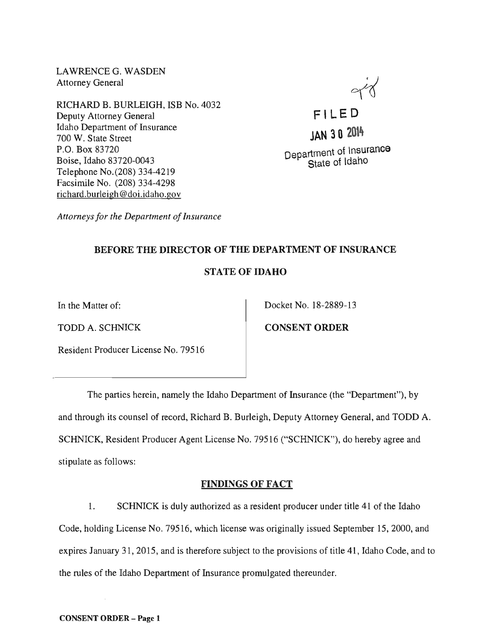LAWRENCEG. WASDEN Attorney General

RICHARD B. BURLEIGH, ISB No. 4032 Deputy Attorney General Idaho Department of Insurance 700 W. State Street P.O. Box 83720 Boise, Idaho 83720-0043 Telephone No.(208) 334-4219 Facsimile No. (208) 334-4298 richard.burleigh@doi.idaho.gov

**FILE 0 JAN 302014**  Department of Insurance State of Idaho

*Attorneys for the Department of Insurance* 

## BEFORE THE DIRECTOR OF THE DEPARTMENT OF INSURANCE

## STATE OF IDAHO

TODD A. SCHNICK CONSENT ORDER

In the Matter of: Docket No. 18-2889-13

Resident Producer License No. 79516

The parties herein, namely the Idaho Department of Insurance (the "Department"), by and through its counsel of record, Richard B. Burleigh, Deputy Attorney General, and TODD A. SCHNICK, Resident Producer Agent License No. 79516 ("SCHNICK"), do hereby agree and stipulate as follows:

# FINDINGS OF FACT

1. SCHNICK is duly authorized as a resident producer under title 41 of the Idaho Code, holding License No. 79516, which license was originally issued September 15,2000, and expires January 31, 2015, and is therefore subject to the provisions of title 41, Idaho Code, and to the rules of the Idaho Department of Insurance promulgated thereunder.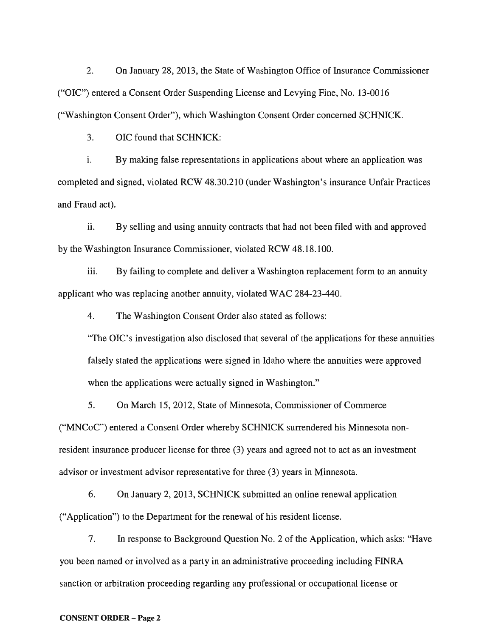2. On January 28,2013, the State of Washington Office of Insurance Commissioner ("OIC") entered a Consent Order Suspending License and Levying Fine, No. 13-0016 ("Washington Consent Order"), which Washington Consent Order concerned SCHNICK.

3. OIC found that SCHNICK:

i. By making false representations in applications about where an application was completed and signed, violated RCW 48.30.210 (under Washington's insurance Unfair Practices and Fraud act).

ii. By selling and using annuity contracts that had not been filed with and approved by the Washington Insurance Commissioner, violated RCW 48.18.100.

iii. By failing to complete and deliver a Washington replacement form to an annuity applicant who was replacing another annuity, violated WAC 284-23-440.

4. The Washington Consent Order also stated as follows:

"The OIC's investigation also disclosed that several of the applications for these annuities falsely stated the applications were signed in Idaho where the annuities were approved when the applications were actually signed in Washington."

5. On March 15, 2012, State of Minnesota, Commissioner of Commerce ("MNCoC") entered a Consent Order whereby SCHNICK surrendered his Minnesota nonresident insurance producer license for three (3) years and agreed not to act as an investment advisor or investment advisor representative for three (3) years in Minnesota.

6. On January 2,2013, SCHNICK submitted an online renewal application ("Application") to the Department for the renewal of his resident license.

7. In response to Background Question No.2 of the Application, which asks: "Have you been named or involved as a party in an administrative proceeding including FINRA sanction or arbitration proceeding regarding any professional or occupational license or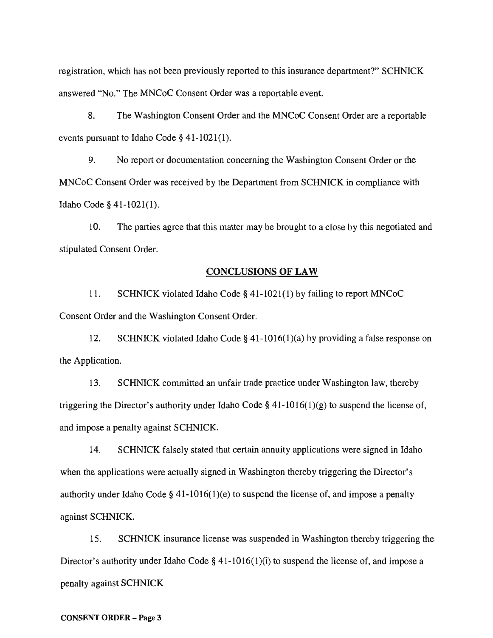registration, which has not been previously reported to this insurance department?" SCHNICK answered "No." The MNCoC Consent Order was a reportable event.

8. The Washington Consent Order and the MNCoC Consent Order are a reportable events pursuant to Idaho Code  $§$  41-1021(1).

9. No report or documentation concerning the Washington Consent Order or the MNCoC Consent Order was received by the Department from SCHNICK in compliance with Idaho Code § 41-1021(1).

10. The parties agree that this matter may be brought to a close by this negotiated and stipulated Consent Order.

### CONCLUSIONS OF LAW

11. SCHNICK violated Idaho Code § 41-1021(1) by failing to report MNCoC Consent Order and the Washington Consent Order.

12. SCHNICK violated Idaho Code § 41-1016(1)(a) by providing a false response on the Application.

13. SCHNICK committed an unfair trade practice under Washington law, thereby triggering the Director's authority under Idaho Code § 41-1016(1)(g) to suspend the license of, and impose a penalty against SCHNICK.

14. SCHNICK falsely stated that certain annuity applications were signed in Idaho when the applications were actually signed in Washington thereby triggering the Director's authority under Idaho Code § 41-1016(1)(e) to suspend the license of, and impose a penalty against SCHNICK.

15. SCHNICK insurance license was suspended in Washington thereby triggering the Director's authority under Idaho Code § 41-1016(1)(i) to suspend the license of, and impose a penalty against SCHNICK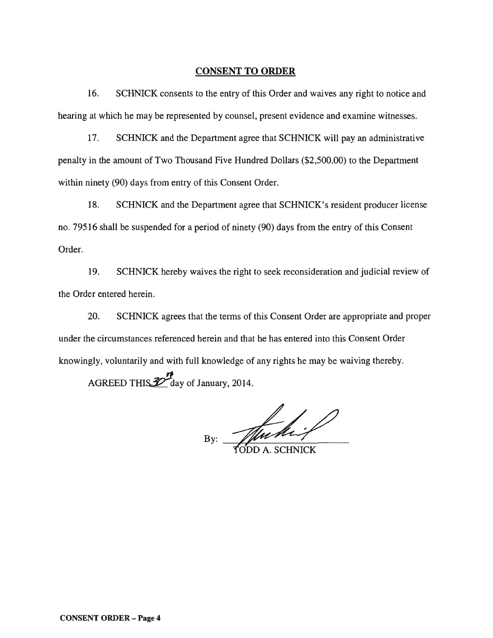#### CONSENT **TO ORDER**

16. SCHNICK consents to the entry of this Order and waives any right to notice and hearing at which he may be represented by counsel, present evidence and examine witnesses.

17. SCHNICK and the Department agree that SCHNICK will pay an administrative penalty in the amount of Two Thousand Five Hundred Dollars (\$2,500.00) to the Department within ninety (90) days from entry of this Consent Order.

18. SCHNICK and the Department agree that SCHNICK's resident producer license no. 79516 shall be suspended for a period of ninety (90) days from the entry of this Consent Order.

19. SCHNICK hereby waives the right to seek reconsideration and judicial review of the Order entered herein.

20. SCHNICK agrees that the terms of this Consent Order are appropriate and proper under the circumstances referenced herein and that he has entered into this Consent Order knowingly, voluntarily and with full knowledge of any rights he may be waiving thereby.

AGREED THIS  $\mathcal{Z}$  day of January, 2014.

By: Muchil

CONSENT ORDER - Page 4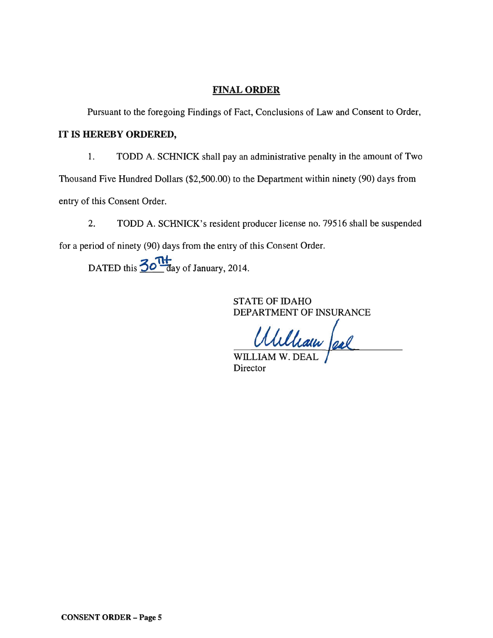## FINAL ORDER

Pursuant to the foregoing Findings of Fact, Conclusions of Law and Consent to Order,

### **IT** IS HEREBY ORDERED,

1. TODD A. SCHNICK shall pay an administrative penalty in the amount of Two

Thousand Five Hundred Dollars (\$2,500.00) to the Department within ninety (90) days from

entry of this Consent Order.

2. TODD A. SCHNICK's resident producer license no. 79516 shall be suspended for a period of ninety (90) days from the entry of this Consent Order.

DATED this  $\frac{30 \text{ Hz}}{4}$  day of January, 2014.

STATE OF IDAHO DEPARTMENT OF INSURANCE

WILLIAM W. DEAL

Director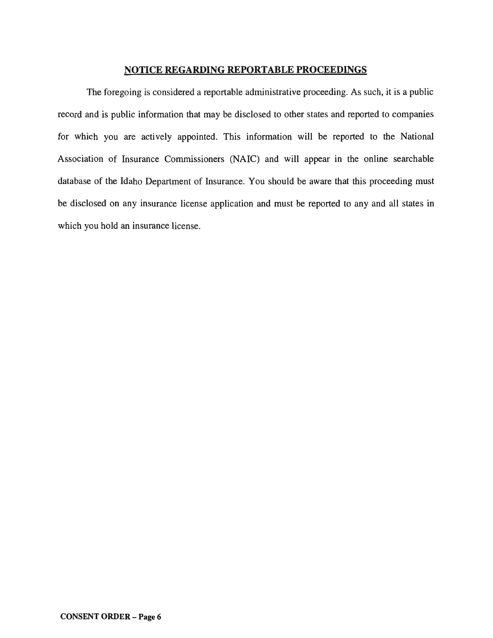## NOTICE REGARDING REPORTABLE PROCEEDINGS

The foregoing is considered a reportable administrative proceeding. As such, it is a public record and is public information that may be disclosed to other states and reported to companies for which you are actively appointed. This information will be reported to the National Association of Insurance Commissioners (NAIC) and will appear in the online searchable database of the Idaho Department of Insurance. You should be aware that this proceeding must be disclosed on any insurance license application and must be reported to any and all states in which you hold an insurance license.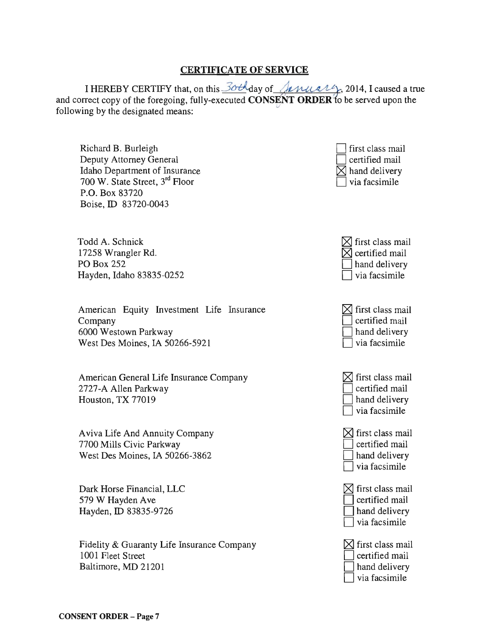## CERTIFICATE OF SERVICE

I HEREBY CERTIFY that, on this  $30t$  day of *Anually*, 2014, I caused a true and correct copy of the foregoing, fully-executed **CONSENT ORDER** to be served upon the following by the designated means:

Richard B. Burleigh Deputy Attorney General Idaho Department of Insurance 700 W. State Street, 3rd Floor P.O. Box 83720 Boise, ID 83720-0043

Todd A. Schnick 17258 Wrangler Rd. PO Box 252 Hayden, Idaho 83835-0252

American Equity Investment Life Insurance Company 6000 Westown Parkway West Des Moines, IA 50266-5921

American General Life Insurance Company 2727-A Allen Parkway Houston, TX 77019

A viva Life And Annuity Company 7700 Mills Civic Parkway West Des Moines, IA 50266-3862

Dark Horse Financial, LLC 579 W Hayden Ave Hayden, ID 83835-9726

Fidelity & Guaranty Life Insurance Company 1001 Fleet Street Baltimore, MD 21201





| $\boxtimes$ first class mail |
|------------------------------|
| certified mail               |
| hand delivery                |
| via facsimile                |





| $\boxtimes$ first class mail |
|------------------------------|
| certified mail               |
| hand delivery                |
| via facsimile                |